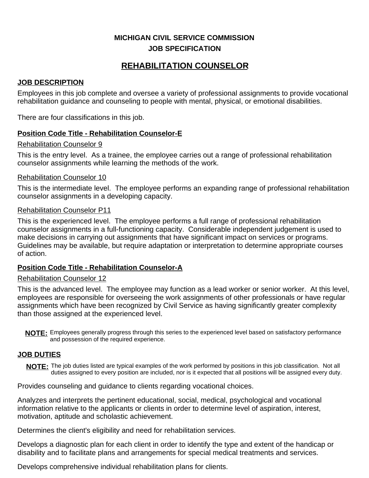## **MICHIGAN CIVIL SERVICE COMMISSION JOB SPECIFICATION**

# **REHABILITATION COUNSELOR**

## **JOB DESCRIPTION**

Employees in this job complete and oversee a variety of professional assignments to provide vocational rehabilitation guidance and counseling to people with mental, physical, or emotional disabilities.

There are four classifications in this job.

## **Position Code Title - Rehabilitation Counselor-E**

#### Rehabilitation Counselor 9

This is the entry level. As a trainee, the employee carries out a range of professional rehabilitation counselor assignments while learning the methods of the work.

#### Rehabilitation Counselor 10

This is the intermediate level. The employee performs an expanding range of professional rehabilitation counselor assignments in a developing capacity.

## Rehabilitation Counselor P11

This is the experienced level. The employee performs a full range of professional rehabilitation counselor assignments in a full-functioning capacity. Considerable independent judgement is used to make decisions in carrying out assignments that have significant impact on services or programs. Guidelines may be available, but require adaptation or interpretation to determine appropriate courses of action.

## **Position Code Title - Rehabilitation Counselor-A**

#### Rehabilitation Counselor 12

This is the advanced level. The employee may function as a lead worker or senior worker. At this level, employees are responsible for overseeing the work assignments of other professionals or have regular assignments which have been recognized by Civil Service as having significantly greater complexity than those assigned at the experienced level.

NOTE: Employees generally progress through this series to the experienced level based on satisfactory performance and possession of the required experience.

## **JOB DUTIES**

**NOTE:** The job duties listed are typical examples of the work performed by positions in this job classification. Not all duties assigned to every position are included, nor is it expected that all positions will be assigned every duty.

Provides counseling and guidance to clients regarding vocational choices.

Analyzes and interprets the pertinent educational, social, medical, psychological and vocational information relative to the applicants or clients in order to determine level of aspiration, interest, motivation, aptitude and scholastic achievement.

Determines the client's eligibility and need for rehabilitation services.

Develops a diagnostic plan for each client in order to identify the type and extent of the handicap or disability and to facilitate plans and arrangements for special medical treatments and services.

Develops comprehensive individual rehabilitation plans for clients.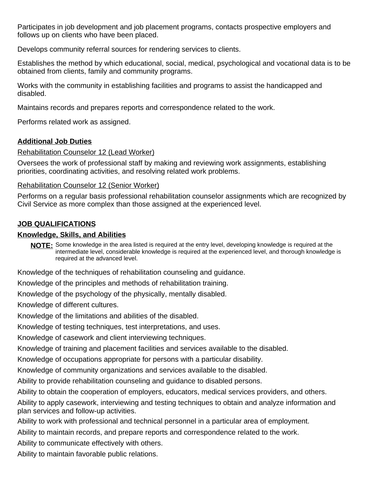Participates in job development and job placement programs, contacts prospective employers and follows up on clients who have been placed.

Develops community referral sources for rendering services to clients.

Establishes the method by which educational, social, medical, psychological and vocational data is to be obtained from clients, family and community programs.

Works with the community in establishing facilities and programs to assist the handicapped and disabled.

Maintains records and prepares reports and correspondence related to the work.

Performs related work as assigned.

## **Additional Job Duties**

#### Rehabilitation Counselor 12 (Lead Worker)

Oversees the work of professional staff by making and reviewing work assignments, establishing priorities, coordinating activities, and resolving related work problems.

## Rehabilitation Counselor 12 (Senior Worker)

Performs on a regular basis professional rehabilitation counselor assignments which are recognized by Civil Service as more complex than those assigned at the experienced level.

## **JOB QUALIFICATIONS**

#### **Knowledge, Skills, and Abilities**

NOTE: Some knowledge in the area listed is required at the entry level, developing knowledge is required at the intermediate level, considerable knowledge is required at the experienced level, and thorough knowledge is required at the advanced level.

Knowledge of the techniques of rehabilitation counseling and guidance.

Knowledge of the principles and methods of rehabilitation training.

Knowledge of the psychology of the physically, mentally disabled.

Knowledge of different cultures.

Knowledge of the limitations and abilities of the disabled.

Knowledge of testing techniques, test interpretations, and uses.

Knowledge of casework and client interviewing techniques.

Knowledge of training and placement facilities and services available to the disabled.

Knowledge of occupations appropriate for persons with a particular disability.

Knowledge of community organizations and services available to the disabled.

Ability to provide rehabilitation counseling and guidance to disabled persons.

Ability to obtain the cooperation of employers, educators, medical services providers, and others.

Ability to apply casework, interviewing and testing techniques to obtain and analyze information and plan services and follow-up activities.

Ability to work with professional and technical personnel in a particular area of employment.

Ability to maintain records, and prepare reports and correspondence related to the work.

Ability to communicate effectively with others.

Ability to maintain favorable public relations.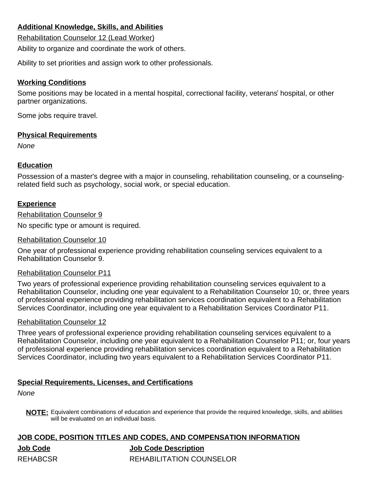## **Additional Knowledge, Skills, and Abilities**

Rehabilitation Counselor 12 (Lead Worker)

Ability to organize and coordinate the work of others.

Ability to set priorities and assign work to other professionals.

## **Working Conditions**

Some positions may be located in a mental hospital, correctional facility, veterans' hospital, or other partner organizations.

Some jobs require travel.

#### **Physical Requirements**

None

## **Education**

Possession of a master's degree with a major in counseling, rehabilitation counseling, or a counselingrelated field such as psychology, social work, or special education.

## **Experience**

Rehabilitation Counselor 9

No specific type or amount is required.

#### Rehabilitation Counselor 10

One year of professional experience providing rehabilitation counseling services equivalent to a Rehabilitation Counselor 9.

## Rehabilitation Counselor P11

Two years of professional experience providing rehabilitation counseling services equivalent to a Rehabilitation Counselor, including one year equivalent to a Rehabilitation Counselor 10; or, three years of professional experience providing rehabilitation services coordination equivalent to a Rehabilitation Services Coordinator, including one year equivalent to a Rehabilitation Services Coordinator P11.

#### Rehabilitation Counselor 12

Three years of professional experience providing rehabilitation counseling services equivalent to a Rehabilitation Counselor, including one year equivalent to a Rehabilitation Counselor P11; or, four years of professional experience providing rehabilitation services coordination equivalent to a Rehabilitation Services Coordinator, including two years equivalent to a Rehabilitation Services Coordinator P11.

#### **Special Requirements, Licenses, and Certifications**

None

**NOTE:** Equivalent combinations of education and experience that provide the required knowledge, skills, and abilities will be evaluated on an individual basis.

# **JOB CODE, POSITION TITLES AND CODES, AND COMPENSATION INFORMATION Job Code Job Code Description** REHABCSR REHABILITATION COUNSELOR